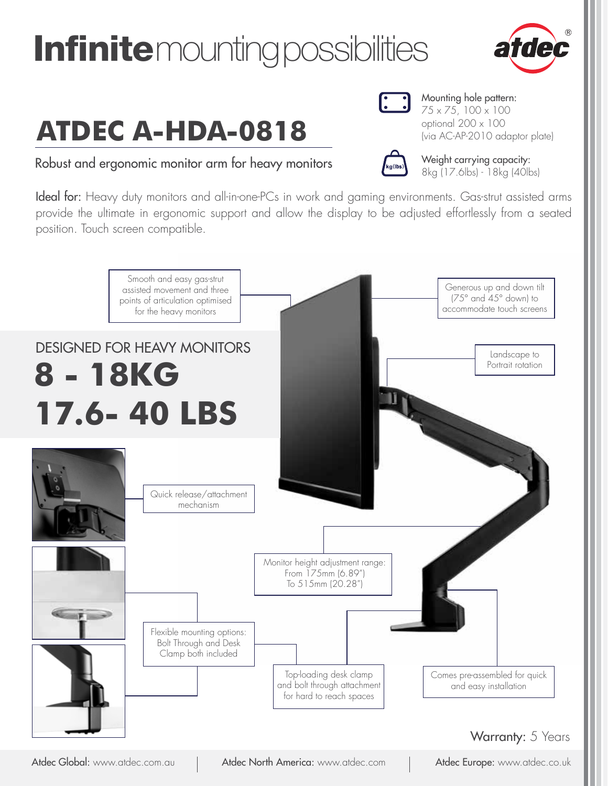# **Infinite** mounting possibilities

# **ATDEC A-HDA-0818**

Robust and ergonomic monitor arm for heavy monitors  $\begin{matrix}k_{\text{g(lbs)}}\\k_{\text{g(lbs)}}\\8k_{\text{q(17.6lbs)}-18k_{\text{q(40lbs)}}}\end{matrix}$ 

Ideal for: Heavy duty monitors and all-in-one-PCs in work and gaming environments. Gas-strut assisted arms provide the ultimate in ergonomic support and allow the display to be adjusted effortlessly from a seated position. Touch screen compatible.



Atdec Global: www.atdec.com.au | Atdec North America: www.atdec.com | Atdec Europe: www.atdec.co.uk



Mounting hole pattern:  $75 \times 75, 100 \times 100$ optional 200 x 100

(via AC-AP-2010 adaptor plate)

Weight carrying capacity: